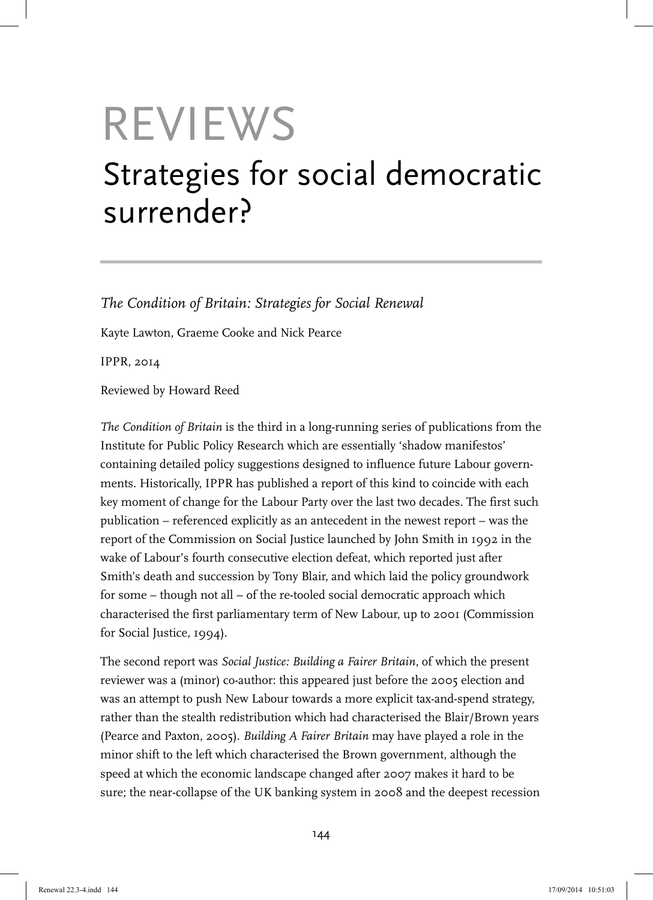# REVIEWS

## Strategies for social democratic surrender?

*The Condition of Britain: Strategies for Social Renewal* 

Kayte Lawton, Graeme Cooke and Nick Pearce

IPPR, 2014

Reviewed by Howard Reed

*The Condition of Britain* is the third in a long-running series of publications from the Institute for Public Policy Research which are essentially 'shadow manifestos' containing detailed policy suggestions designed to influence future Labour governments. Historically, IPPR has published a report of this kind to coincide with each key moment of change for the Labour Party over the last two decades. The first such publication – referenced explicitly as an antecedent in the newest report – was the report of the Commission on Social Justice launched by John Smith in 1992 in the wake of Labour's fourth consecutive election defeat, which reported just after Smith's death and succession by Tony Blair, and which laid the policy groundwork for some – though not all – of the re-tooled social democratic approach which characterised the first parliamentary term of New Labour, up to 2001 (Commission for Social Justice, 1994).

The second report was *Social Justice: Building a Fairer Britain*, of which the present reviewer was a (minor) co-author: this appeared just before the 2005 election and was an attempt to push New Labour towards a more explicit tax-and-spend strategy, rather than the stealth redistribution which had characterised the Blair/Brown years (Pearce and Paxton, 2005). *Building A Fairer Britain* may have played a role in the minor shift to the left which characterised the Brown government, although the speed at which the economic landscape changed after 2007 makes it hard to be sure; the near-collapse of the UK banking system in 2008 and the deepest recession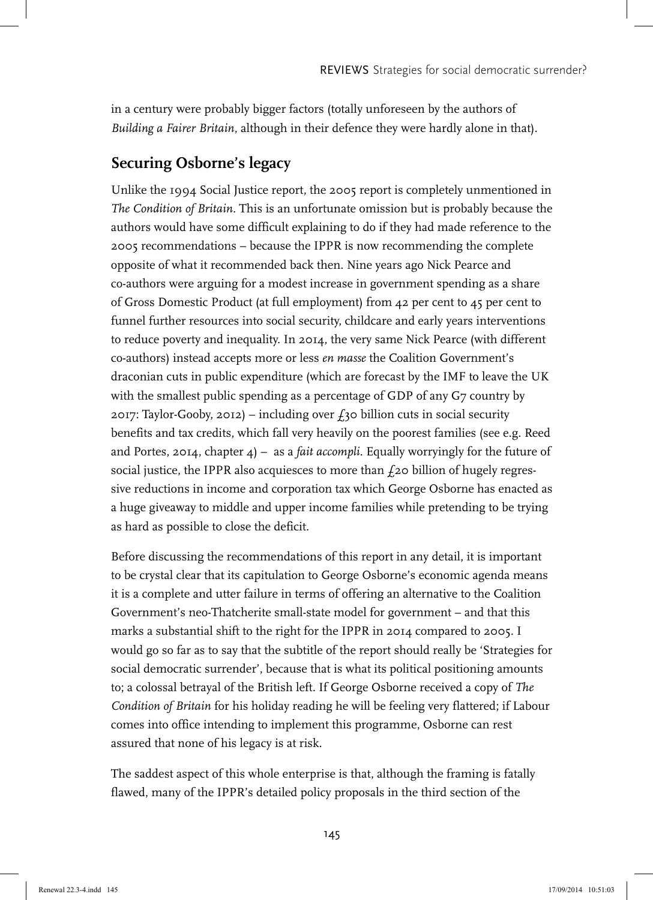in a century were probably bigger factors (totally unforeseen by the authors of *Building a Fairer Britain*, although in their defence they were hardly alone in that).

### **Securing Osborne's legacy**

Unlike the 1994 Social Justice report, the 2005 report is completely unmentioned in *The Condition of Britain*. This is an unfortunate omission but is probably because the authors would have some difficult explaining to do if they had made reference to the 2005 recommendations – because the IPPR is now recommending the complete opposite of what it recommended back then. Nine years ago Nick Pearce and co-authors were arguing for a modest increase in government spending as a share of Gross Domestic Product (at full employment) from 42 per cent to 45 per cent to funnel further resources into social security, childcare and early years interventions to reduce poverty and inequality. In 2014, the very same Nick Pearce (with different co-authors) instead accepts more or less *en masse* the Coalition Government's draconian cuts in public expenditure (which are forecast by the IMF to leave the UK with the smallest public spending as a percentage of GDP of any G7 country by 2017: Taylor-Gooby, 2012) – including over  $f_3$ 0 billion cuts in social security benefits and tax credits, which fall very heavily on the poorest families (see e.g. Reed and Portes, 2014, chapter 4) – as a *fait accompli*. Equally worryingly for the future of social justice, the IPPR also acquiesces to more than  $f_2$ o billion of hugely regressive reductions in income and corporation tax which George Osborne has enacted as a huge giveaway to middle and upper income families while pretending to be trying as hard as possible to close the deficit.

Before discussing the recommendations of this report in any detail, it is important to be crystal clear that its capitulation to George Osborne's economic agenda means it is a complete and utter failure in terms of offering an alternative to the Coalition Government's neo-Thatcherite small-state model for government – and that this marks a substantial shift to the right for the IPPR in 2014 compared to 2005. I would go so far as to say that the subtitle of the report should really be 'Strategies for social democratic surrender', because that is what its political positioning amounts to; a colossal betrayal of the British left. If George Osborne received a copy of *The Condition of Britain* for his holiday reading he will be feeling very flattered; if Labour comes into office intending to implement this programme, Osborne can rest assured that none of his legacy is at risk.

The saddest aspect of this whole enterprise is that, although the framing is fatally flawed, many of the IPPR's detailed policy proposals in the third section of the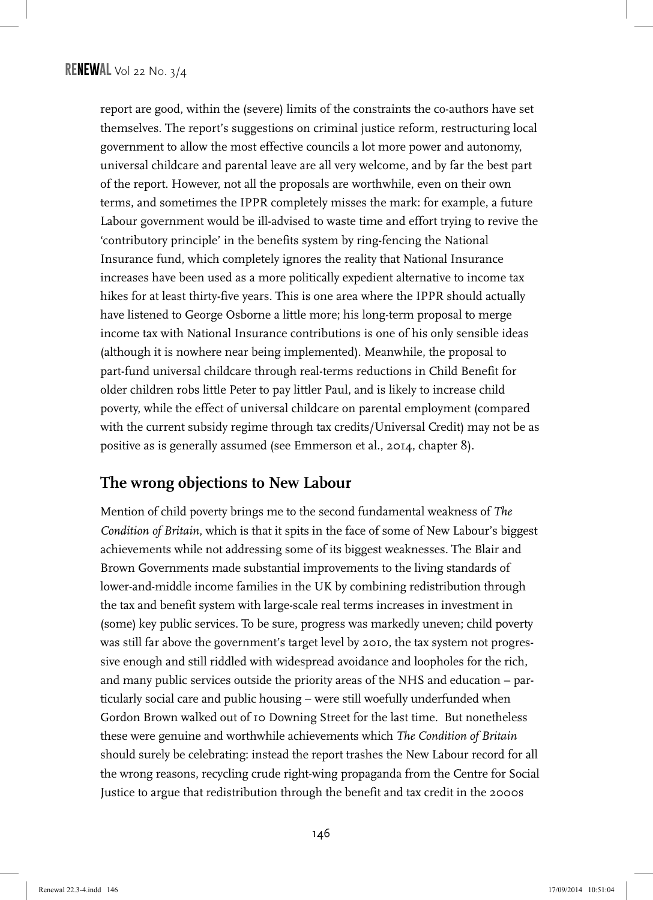report are good, within the (severe) limits of the constraints the co-authors have set themselves. The report's suggestions on criminal justice reform, restructuring local government to allow the most effective councils a lot more power and autonomy, universal childcare and parental leave are all very welcome, and by far the best part of the report. However, not all the proposals are worthwhile, even on their own terms, and sometimes the IPPR completely misses the mark: for example, a future Labour government would be ill-advised to waste time and effort trying to revive the 'contributory principle' in the benefits system by ring-fencing the National Insurance fund, which completely ignores the reality that National Insurance increases have been used as a more politically expedient alternative to income tax hikes for at least thirty-five years. This is one area where the IPPR should actually have listened to George Osborne a little more; his long-term proposal to merge income tax with National Insurance contributions is one of his only sensible ideas (although it is nowhere near being implemented). Meanwhile, the proposal to part-fund universal childcare through real-terms reductions in Child Benefit for older children robs little Peter to pay littler Paul, and is likely to increase child poverty, while the effect of universal childcare on parental employment (compared with the current subsidy regime through tax credits/Universal Credit) may not be as positive as is generally assumed (see Emmerson et al., 2014, chapter 8).

#### **The wrong objections to New Labour**

Mention of child poverty brings me to the second fundamental weakness of *The Condition of Britain*, which is that it spits in the face of some of New Labour's biggest achievements while not addressing some of its biggest weaknesses. The Blair and Brown Governments made substantial improvements to the living standards of lower-and-middle income families in the UK by combining redistribution through the tax and benefit system with large-scale real terms increases in investment in (some) key public services. To be sure, progress was markedly uneven; child poverty was still far above the government's target level by 2010, the tax system not progressive enough and still riddled with widespread avoidance and loopholes for the rich, and many public services outside the priority areas of the NHS and education – particularly social care and public housing – were still woefully underfunded when Gordon Brown walked out of 10 Downing Street for the last time. But nonetheless these were genuine and worthwhile achievements which *The Condition of Britain*  should surely be celebrating: instead the report trashes the New Labour record for all the wrong reasons, recycling crude right-wing propaganda from the Centre for Social Justice to argue that redistribution through the benefit and tax credit in the 2000s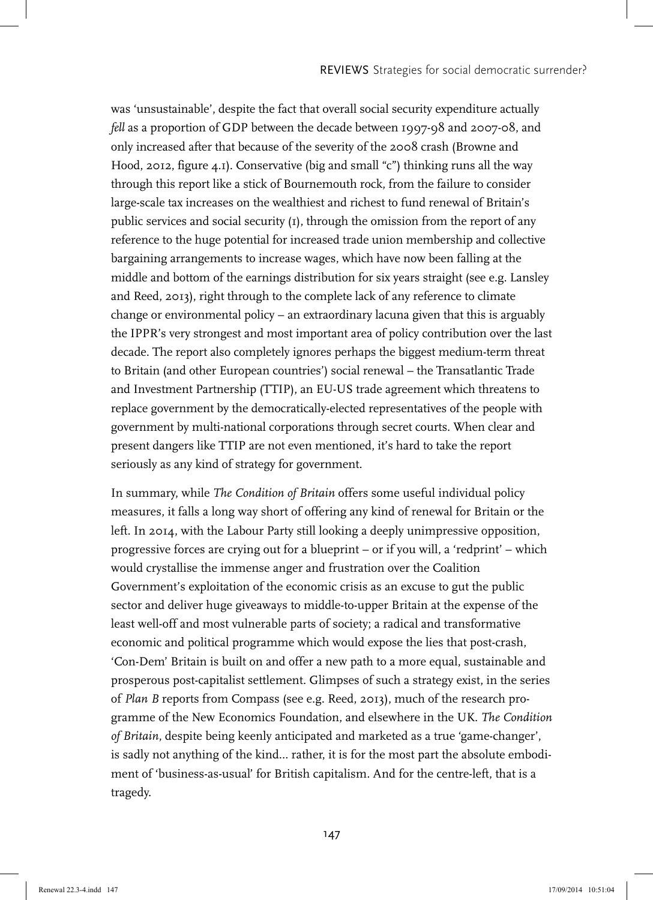was 'unsustainable', despite the fact that overall social security expenditure actually *fell* as a proportion of GDP between the decade between 1997-98 and 2007-08, and only increased after that because of the severity of the 2008 crash (Browne and Hood, 2012, figure 4.1). Conservative (big and small "c") thinking runs all the way through this report like a stick of Bournemouth rock, from the failure to consider large-scale tax increases on the wealthiest and richest to fund renewal of Britain's public services and social security (1), through the omission from the report of any reference to the huge potential for increased trade union membership and collective bargaining arrangements to increase wages, which have now been falling at the middle and bottom of the earnings distribution for six years straight (see e.g. Lansley and Reed, 2013), right through to the complete lack of any reference to climate change or environmental policy – an extraordinary lacuna given that this is arguably the IPPR's very strongest and most important area of policy contribution over the last decade. The report also completely ignores perhaps the biggest medium-term threat to Britain (and other European countries') social renewal – the Transatlantic Trade and Investment Partnership (TTIP), an EU-US trade agreement which threatens to replace government by the democratically-elected representatives of the people with government by multi-national corporations through secret courts. When clear and present dangers like TTIP are not even mentioned, it's hard to take the report seriously as any kind of strategy for government.

In summary, while *The Condition of Britain* offers some useful individual policy measures, it falls a long way short of offering any kind of renewal for Britain or the left. In 2014, with the Labour Party still looking a deeply unimpressive opposition, progressive forces are crying out for a blueprint – or if you will, a 'redprint' – which would crystallise the immense anger and frustration over the Coalition Government's exploitation of the economic crisis as an excuse to gut the public sector and deliver huge giveaways to middle-to-upper Britain at the expense of the least well-off and most vulnerable parts of society; a radical and transformative economic and political programme which would expose the lies that post-crash, 'Con-Dem' Britain is built on and offer a new path to a more equal, sustainable and prosperous post-capitalist settlement. Glimpses of such a strategy exist, in the series of *Plan B* reports from Compass (see e.g. Reed, 2013), much of the research programme of the New Economics Foundation, and elsewhere in the UK. *The Condition of Britain*, despite being keenly anticipated and marketed as a true 'game-changer', is sadly not anything of the kind... rather, it is for the most part the absolute embodiment of 'business-as-usual' for British capitalism. And for the centre-left, that is a tragedy.